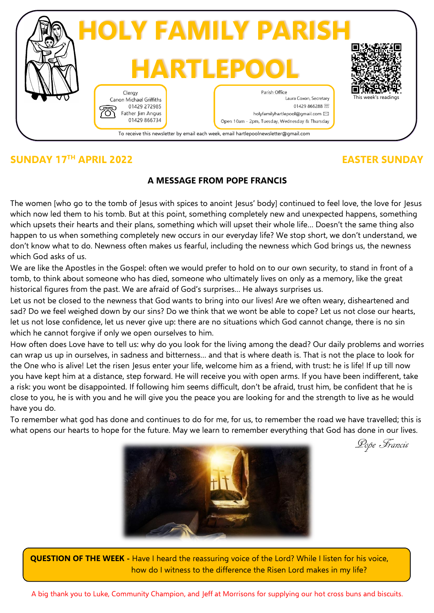

## **SUNDAY 17TH APRIL 2022**

## **A MESSAGE FROM POPE FRANCIS**

The women [who go to the tomb of Jesus with spices to anoint Jesus' body] continued to feel love, the love for Jesus which now led them to his tomb. But at this point, something completely new and unexpected happens, something which upsets their hearts and their plans, something which will upset their whole life… Doesn't the same thing also happen to us when something completely new occurs in our everyday life? We stop short, we don't understand, we don't know what to do. Newness often makes us fearful, including the newness which God brings us, the newness which God asks of us.

We are like the Apostles in the Gospel: often we would prefer to hold on to our own security, to stand in front of a tomb, to think about someone who has died, someone who ultimately lives on only as a memory, like the great historical figures from the past. We are afraid of God's surprises… He always surprises us.

Let us not be closed to the newness that God wants to bring into our lives! Are we often weary, disheartened and sad? Do we feel weighed down by our sins? Do we think that we wont be able to cope? Let us not close our hearts, let us not lose confidence, let us never give up: there are no situations which God cannot change, there is no sin which he cannot forgive if only we open ourselves to him.

How often does Love have to tell us: why do you look for the living among the dead? Our daily problems and worries can wrap us up in ourselves, in sadness and bitterness… and that is where death is. That is not the place to look for the One who is alive! Let the risen Jesus enter your life, welcome him as a friend, with trust: he is life! If up till now you have kept him at a distance, step forward. He will receive you with open arms. If you have been indifferent, take a risk: you wont be disappointed. If following him seems difficult, don't be afraid, trust him, be confident that he is close to you, he is with you and he will give you the peace you are looking for and the strength to live as he would have you do.

To remember what god has done and continues to do for me, for us, to remember the road we have travelled; this is what opens our hearts to hope for the future. May we learn to remember everything that God has done in our lives.



Pope Francis

**EASTER SUNDAY** 

**QUESTION OF THE WEEK -** Have I heard the reassuring voice of the Lord? While I listen for his voice, how do I witness to the difference the Risen Lord makes in my life?

A big thank you to Luke, Community Champion, and Jeff at Morrisons for supplying our hot cross buns and biscuits.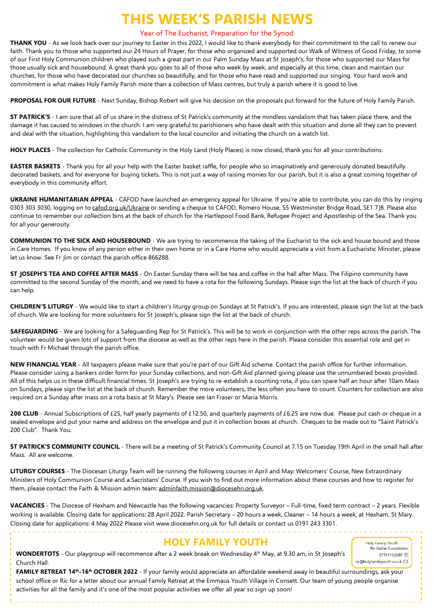## **THIS WEEK'S PARISH NEWS**

#### Year of The Eucharist, Preparation for the Synod

**THANK YOU** - As we look back over our journey to Easter in this 2022, I would like to thank everybody for their commitment to the call to renew our faith. Thank you to those who supported our 24 Hours of Prayer, for those who organized and supported our Walk of Witness of Good Friday, to some of our First Holy Communion children who played such a great part in our Palm Sunday Mass at St Joseph's, for those who supported our Mass for those usually sick and housebound. A great thank you goes to all of those who week by week, and especially at this time, clean and maintain our churches, for those who have decorated our churches so beautifully, and for those who have read and supported our singing. Your hard work and commitment is what makes Holy Family Parish more than a collection of Mass centres, but truly a parish where it is good to live.

**PROPOSAL FOR OUR FUTURE** - Next Sunday, Bishop Robert will give his decision on the proposals put forward for the future of Holy Family Parish.

**ST PATRICK'S** - I am sure that all of us share in the distress of St Patrick's community at the mindless vandalism that has taken place there, and the damage it has caused to windows in the church. I am very grateful to parishioners who have dealt with this situation and done all they can to prevent and deal with the situation, highlighting this vandalism to the local councilor and initiating the church on a watch list.

**HOLY PLACES** - The collection for Catholic Community in the Holy Land (Holy Places) is now closed, thank you for all your contributions.

**EASTER BASKETS** - Thank you for all your help with the Easter basket raffle, for people who so imaginatively and generously donated beautifully decorated baskets, and for everyone for buying tickets. This is not just a way of raising monies for our parish, but it is also a great coming together of everybody in this community effort.

**UKRAINE HUMANITARIAN APPEAL** - CAFOD have launched an emergency appeal for Ukraine. If you're able to contribute, you can do this by ringing 0303 303 3030, logging on to [cafod.org.uk/Ukraine](http://cafod.org.uk/Ukraine) or sending a cheque to CAFOD, Romero House, 55 Westminster Bridge Road, SE1 7JB. Please also continue to remember our collection bins at the back of church for the Hartlepool Food Bank, Refugee Project and Apostleship of the Sea. Thank you for all your generosity.

**COMMUNION TO THE SICK AND HOUSEBOUND** - We are trying to recommence the taking of the Eucharist to the sick and house bound and those in Care Homes. If you know of any person either in their own home or in a Care Home who would appreciate a visit from a Eucharistic Minister, please let us know. See Fr Jim or contact the parish office 866288.

**ST JOSEPH'S TEA AND COFFEE AFTER MASS** - On Easter Sunday there will be tea and coffee in the hall after Mass. The Filipino community have committed to the second Sunday of the month, and we need to have a rota for the following Sundays. Please sign the list at the back of church if you can help.

**CHILDREN'S LITURGY** - We would like to start a children's liturgy group on Sundays at St Patrick's. If you are interested, please sign the list at the back of church. We are looking for more volunteers for St Joseph's, please sign the list at the back of church.

**SAFEGUARDING** - We are looking for a Safeguarding Rep for St Patrick's. This will be to work in conjunction with the other reps across the parish. The volunteer would be given lots of support from the diocese as well as the other reps here in the parish. Please consider this essential role and get in touch with Fr Michael through the parish office.

**NEW FINANCIAL YEAR** - All taxpayers please make sure that you're part of our Gift Aid scheme. Contact the parish office for further information. Please consider using a bankers order form for your Sunday collections, and non-Gift Aid planned giving please use the unnumbered boxes provided. All of this helps us in these difficult financial times. St Joseph's are trying to re-establish a counting rota, if you can spare half an hour after 10am Mass on Sundays, please sign the list at the back of church. Remember the more volunteers, the less often you have to count. Counters for collection are also required on a Sunday after mass on a rota basis at St Mary's. Please see Ian Fraser or Maria Morris.

**200 CLUB** - Annual Subscriptions of £25, half yearly payments of £12.50, and quarterly payments of £6.25 are now due. Please put cash or cheque in a sealed envelope and put your name and address on the envelope and put it in collection boxes at church. Cheques to be made out to "Saint Patrick's 200 Club". Thank You.

**ST PATRICK'S COMMUNITY COUNCIL** - There will be a meeting of St Patrick's Community Council at 7.15 on Tuesday 19th April in the small hall after Mass. All are welcome.

**LITURGY COURSES** - The Diocesan Liturgy Team will be running the following courses in April and May: Welcomers' Course, New Extraordinary Ministers of Holy Communion Course and a Sacristans' Course. If you wish to find out more information about these courses and how to register for them, please contact the Faith & Mission admin team: [adminfaith.mission@diocesehn.org.uk](mailto:adminfaith.mission@diocesehn.org.uk).

**VACANCIES** - The Diocese of Hexham and Newcastle has the following vacancies: Property Surveyor – Full-time, fixed term contract – 2 years. Flexible working is available. Closing date for applications: 28 April 2022. Parish Secretary – 20 hours a week, Cleaner – 14 hours a week, at Hexham, St Mary. Closing date for applications: 4 May 2022 Please visit www.diocesehn.org.uk for full details or contact us 0191 243 3301.

## **HOLY FAMILY YOUTH**

WONDERTOTS - Our playgroup will recommence after a 2 week break on Wednesday 4<sup>th</sup> May, at 9.30 am, in St Joseph's Church Hall.

Holy Family Youth Ric Slatter Coordinator ric@holyfamilyyouth.co.uk ⊠

**FAMILY RETREAT 14th -16th OCTOBER 2022** - If your family would appreciate an affordable weekend away in beautiful surroundings, ask your school office or Ric for a letter about our annual Family Retreat at the Emmaus Youth Village in Consett. Our team of young people organise activities for all the family and it's one of the most popular activities we offer all year so sign up soon!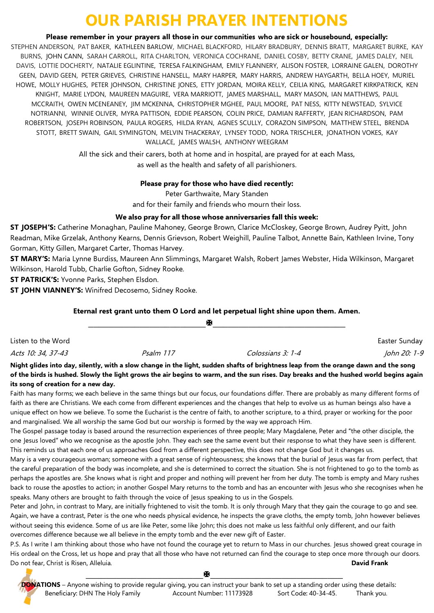# **OUR PARISH PRAYER INTENTIONS**

**Please remember in your prayers all those in our communities who are sick or housebound, especially:**

STEPHEN ANDERSON, PAT BAKER, KATHLEEN BARLOW, MICHAEL BLACKFORD, HILARY BRADBURY, DENNIS BRATT, MARGARET BURKE, KAY BURNS, JOHN CANN, SARAH CARROLL, RITA CHARLTON, VERONICA COCHRANE, DANIEL COSBY, BETTY CRANE, JAMES DALEY, NEIL DAVIS, LOTTIE DOCHERTY, NATALIE EGLINTINE, TERESA FALKINGHAM, EMILY FLANNERY, ALISON FOSTER, LORRAINE GALEN, DOROTHY GEEN, DAVID GEEN, PETER GRIEVES, CHRISTINE HANSELL, MARY HARPER, MARY HARRIS, ANDREW HAYGARTH, BELLA HOEY, MURIEL HOWE, MOLLY HUGHES, PETER JOHNSON, CHRISTINE JONES, ETTY JORDAN, MOIRA KELLY, CEILIA KING, MARGARET KIRKPATRICK, KEN KNIGHT, MARIE LYDON, MAUREEN MAGUIRE, VERA MARRIOTT, JAMES MARSHALL, MARY MASON, IAN MATTHEWS, PAUL MCCRAITH, OWEN MCENEANEY, JIM MCKENNA, CHRISTOPHER MGHEE, PAUL MOORE, PAT NESS, KITTY NEWSTEAD, SYLVICE NOTRIANNI, WINNIE OLIVER, MYRA PATTISON, EDDIE PEARSON, COLIN PRICE, DAMIAN RAFFERTY, JEAN RICHARDSON, PAM ROBERTSON, JOSEPH ROBINSON, PAULA ROGERS, HILDA RYAN, AGNES SCULLY, CORAZON SIMPSON, MATTHEW STEEL, BRENDA STOTT, BRETT SWAIN, GAIL SYMINGTON, MELVIN THACKERAY, LYNSEY TODD, NORA TRISCHLER, JONATHON VOKES, KAY WALLACE, JAMES WALSH, ANTHONY WEEGRAM

> All the sick and their carers, both at home and in hospital, are prayed for at each Mass, as well as the health and safety of all parishioners.

#### **Please pray for those who have died recently:**

Peter Garthwaite, Mary Standen and for their family and friends who mourn their loss.

### **We also pray for all those whose anniversaries fall this week:**

**ST JOSEPH'S:** Catherine Monaghan, Pauline Mahoney, George Brown, Clarice McCloskey, George Brown, Audrey Pyitt, John Readman, Mike Grzelak, Anthony Kearns, Dennis Grievson, Robert Weighill, Pauline Talbot, Annette Bain, Kathleen Irvine, Tony Gorman, Kitty Gillen, Margaret Carter, Thomas Harvey.

**ST MARY'S:** Maria Lynne Burdiss, Maureen Ann Slimmings, Margaret Walsh, Robert James Webster, Hida Wilkinson, Margaret Wilkinson, Harold Tubb, Charlie Gofton, Sidney Rooke.

**ST PATRICK'S:** Yvonne Parks, Stephen Elsdon.

**ST JOHN VIANNEY'S:** Winifred Decosemo, Sidney Rooke.

### **Eternal rest grant unto them O Lord and let perpetual light shine upon them. Amen.**

|                    |           | м                 |               |
|--------------------|-----------|-------------------|---------------|
| Listen to the Word |           |                   | Easter Sunday |
| Acts 10: 34, 37-43 | Psalm 117 | Colossians 3: 1-4 | John 20: 1-9  |

**Night glides into day, silently, with a slow change in the light, sudden shafts of brightness leap from the orange dawn and the song of the birds is hushed. Slowly the light grows the air begins to warm, and the sun rises. Day breaks and the hushed world begins again its song of creation for a new day.**

Faith has many forms; we each believe in the same things but our focus, our foundations differ. There are probably as many different forms of faith as there are Christians. We each come from different experiences and the changes that help to evolve us as human beings also have a unique effect on how we believe. To some the Eucharist is the centre of faith, to another scripture, to a third, prayer or working for the poor and marginalised. We all worship the same God but our worship is formed by the way we approach Him.

The Gospel passage today is based around the resurrection experiences of three people; Mary Magdalene, Peter and "the other disciple, the one Jesus loved" who we recognise as the apostle John. They each see the same event but their response to what they have seen is different. This reminds us that each one of us approaches God from a different perspective, this does not change God but it changes us.

Mary is a very courageous woman; someone with a great sense of righteousness; she knows that the burial of Jesus was far from perfect, that the careful preparation of the body was incomplete, and she is determined to correct the situation. She is not frightened to go to the tomb as perhaps the apostles are. She knows what is right and proper and nothing will prevent her from her duty. The tomb is empty and Mary rushes back to rouse the apostles to action; in another Gospel Mary returns to the tomb and has an encounter with Jesus who she recognises when he speaks. Many others are brought to faith through the voice of Jesus speaking to us in the Gospels.

Peter and John, in contrast to Mary, are initially frightened to visit the tomb. It is only through Mary that they gain the courage to go and see. Again, we have a contrast, Peter is the one who needs physical evidence, he inspects the grave cloths, the empty tomb, John however believes without seeing this evidence. Some of us are like Peter, some like John; this does not make us less faithful only different, and our faith overcomes difference because we all believe in the empty tomb and the ever new gift of Easter.

P.S. As I write I am thinking about those who have not found the courage yet to return to Mass in our churches. Jesus showed great courage in His ordeal on the Cross, let us hope and pray that all those who have not returned can find the courage to step once more through our doors. Do not fear, Christ is Risen, Alleluia. **David Frank**

**\_\_\_\_\_\_\_\_\_\_\_\_\_\_\_\_\_\_\_\_\_\_\_\_\_\_\_\_\_\_\_\_\_\_\_\_\_\_\_\_\_\_\_\_\_\_\_\_\_**